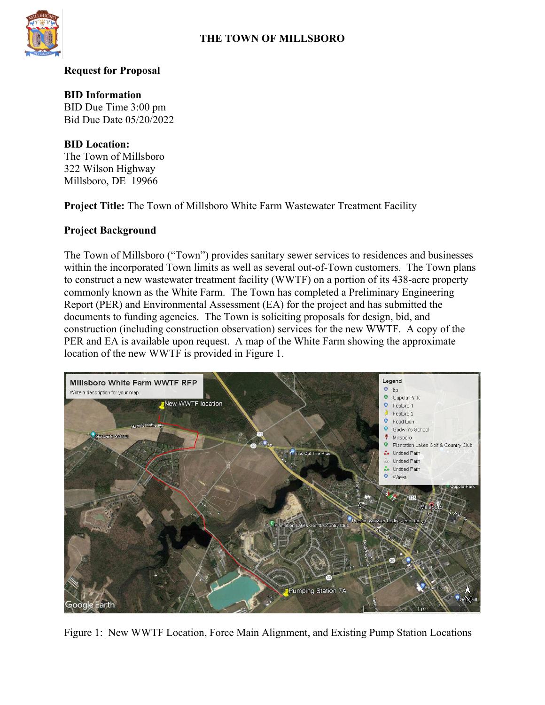

#### **Request for Proposal**

**BID Information** BID Due Time 3:00 pm Bid Due Date 05/20/2022

**BID Location:** The Town of Millsboro 322 Wilson Highway Millsboro, DE 19966

**Project Title:** The Town of Millsboro White Farm Wastewater Treatment Facility

### **Project Background**

The Town of Millsboro ("Town") provides sanitary sewer services to residences and businesses within the incorporated Town limits as well as several out-of-Town customers. The Town plans to construct a new wastewater treatment facility (WWTF) on a portion of its 438-acre property commonly known as the White Farm. The Town has completed a Preliminary Engineering Report (PER) and Environmental Assessment (EA) for the project and has submitted the documents to funding agencies. The Town is soliciting proposals for design, bid, and construction (including construction observation) services for the new WWTF. A copy of the PER and EA is available upon request. A map of the White Farm showing the approximate location of the new WWTF is provided in Figure 1.



Figure 1: New WWTF Location, Force Main Alignment, and Existing Pump Station Locations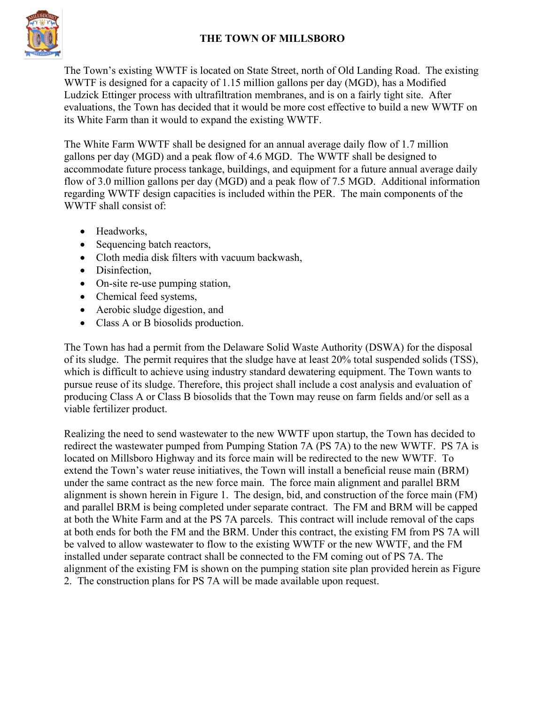

The Town's existing WWTF is located on State Street, north of Old Landing Road. The existing WWTF is designed for a capacity of 1.15 million gallons per day (MGD), has a Modified Ludzick Ettinger process with ultrafiltration membranes, and is on a fairly tight site. After evaluations, the Town has decided that it would be more cost effective to build a new WWTF on its White Farm than it would to expand the existing WWTF.

The White Farm WWTF shall be designed for an annual average daily flow of 1.7 million gallons per day (MGD) and a peak flow of 4.6 MGD. The WWTF shall be designed to accommodate future process tankage, buildings, and equipment for a future annual average daily flow of 3.0 million gallons per day (MGD) and a peak flow of 7.5 MGD. Additional information regarding WWTF design capacities is included within the PER. The main components of the WWTF shall consist of:

- Headworks,
- Sequencing batch reactors,
- Cloth media disk filters with vacuum backwash,
- Disinfection.
- On-site re-use pumping station,
- Chemical feed systems,
- Aerobic sludge digestion, and
- Class A or B biosolids production.

The Town has had a permit from the Delaware Solid Waste Authority (DSWA) for the disposal of its sludge. The permit requires that the sludge have at least 20% total suspended solids (TSS), which is difficult to achieve using industry standard dewatering equipment. The Town wants to pursue reuse of its sludge. Therefore, this project shall include a cost analysis and evaluation of producing Class A or Class B biosolids that the Town may reuse on farm fields and/or sell as a viable fertilizer product.

Realizing the need to send wastewater to the new WWTF upon startup, the Town has decided to redirect the wastewater pumped from Pumping Station 7A (PS 7A) to the new WWTF. PS 7A is located on Millsboro Highway and its force main will be redirected to the new WWTF. To extend the Town's water reuse initiatives, the Town will install a beneficial reuse main (BRM) under the same contract as the new force main. The force main alignment and parallel BRM alignment is shown herein in Figure 1. The design, bid, and construction of the force main (FM) and parallel BRM is being completed under separate contract. The FM and BRM will be capped at both the White Farm and at the PS 7A parcels. This contract will include removal of the caps at both ends for both the FM and the BRM. Under this contract, the existing FM from PS 7A will be valved to allow wastewater to flow to the existing WWTF or the new WWTF, and the FM installed under separate contract shall be connected to the FM coming out of PS 7A. The alignment of the existing FM is shown on the pumping station site plan provided herein as Figure 2. The construction plans for PS 7A will be made available upon request.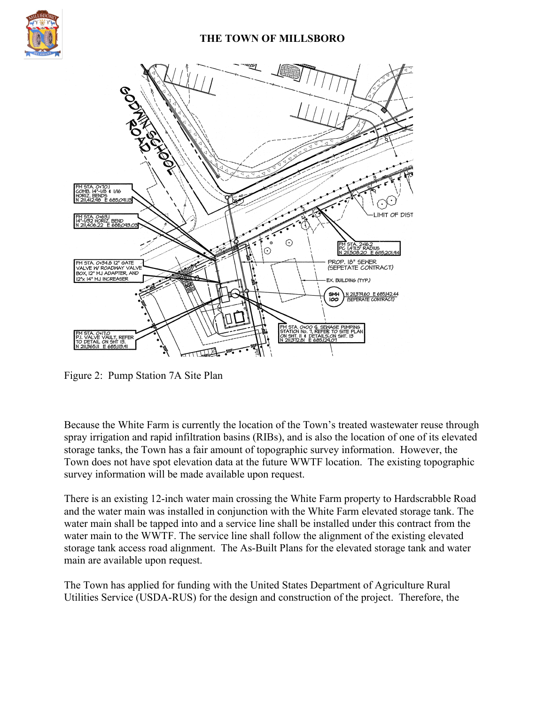



Figure 2: Pump Station 7A Site Plan

Because the White Farm is currently the location of the Town's treated wastewater reuse through spray irrigation and rapid infiltration basins (RIBs), and is also the location of one of its elevated storage tanks, the Town has a fair amount of topographic survey information. However, the Town does not have spot elevation data at the future WWTF location. The existing topographic survey information will be made available upon request.

There is an existing 12-inch water main crossing the White Farm property to Hardscrabble Road and the water main was installed in conjunction with the White Farm elevated storage tank. The water main shall be tapped into and a service line shall be installed under this contract from the water main to the WWTF. The service line shall follow the alignment of the existing elevated storage tank access road alignment. The As-Built Plans for the elevated storage tank and water main are available upon request.

The Town has applied for funding with the United States Department of Agriculture Rural Utilities Service (USDA-RUS) for the design and construction of the project. Therefore, the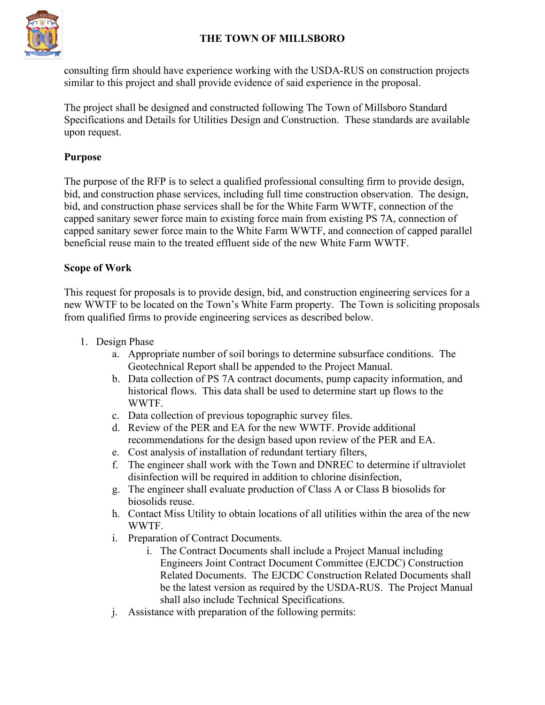

consulting firm should have experience working with the USDA-RUS on construction projects similar to this project and shall provide evidence of said experience in the proposal.

The project shall be designed and constructed following The Town of Millsboro Standard Specifications and Details for Utilities Design and Construction. These standards are available upon request.

## **Purpose**

The purpose of the RFP is to select a qualified professional consulting firm to provide design, bid, and construction phase services, including full time construction observation. The design, bid, and construction phase services shall be for the White Farm WWTF, connection of the capped sanitary sewer force main to existing force main from existing PS 7A, connection of capped sanitary sewer force main to the White Farm WWTF, and connection of capped parallel beneficial reuse main to the treated effluent side of the new White Farm WWTF.

### **Scope of Work**

This request for proposals is to provide design, bid, and construction engineering services for a new WWTF to be located on the Town's White Farm property. The Town is soliciting proposals from qualified firms to provide engineering services as described below.

- 1. Design Phase
	- a. Appropriate number of soil borings to determine subsurface conditions. The Geotechnical Report shall be appended to the Project Manual.
	- b. Data collection of PS 7A contract documents, pump capacity information, and historical flows. This data shall be used to determine start up flows to the WWTF.
	- c. Data collection of previous topographic survey files.
	- d. Review of the PER and EA for the new WWTF. Provide additional recommendations for the design based upon review of the PER and EA.
	- e. Cost analysis of installation of redundant tertiary filters,
	- f. The engineer shall work with the Town and DNREC to determine if ultraviolet disinfection will be required in addition to chlorine disinfection,
	- g. The engineer shall evaluate production of Class A or Class B biosolids for biosolids reuse.
	- h. Contact Miss Utility to obtain locations of all utilities within the area of the new WWTF.
	- i. Preparation of Contract Documents.
		- i. The Contract Documents shall include a Project Manual including Engineers Joint Contract Document Committee (EJCDC) Construction Related Documents. The EJCDC Construction Related Documents shall be the latest version as required by the USDA-RUS. The Project Manual shall also include Technical Specifications.
	- j. Assistance with preparation of the following permits: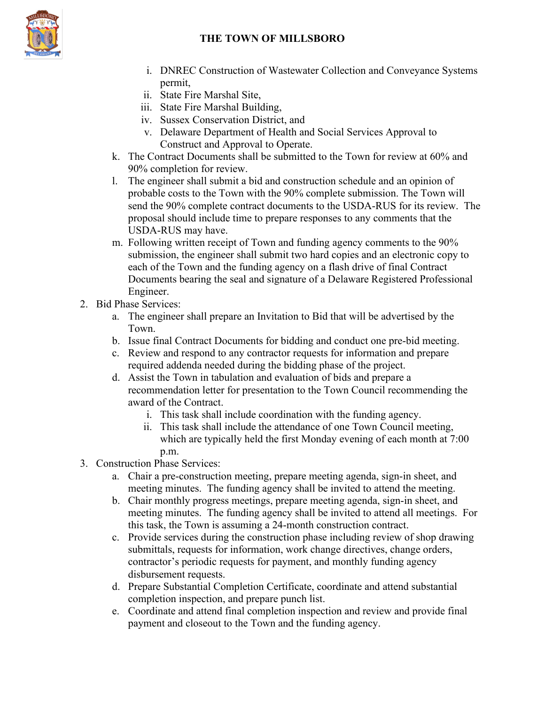

- i. DNREC Construction of Wastewater Collection and Conveyance Systems permit,
- ii. State Fire Marshal Site,
- iii. State Fire Marshal Building,
- iv. Sussex Conservation District, and
- v. Delaware Department of Health and Social Services Approval to Construct and Approval to Operate.
- k. The Contract Documents shall be submitted to the Town for review at 60% and 90% completion for review.
- l. The engineer shall submit a bid and construction schedule and an opinion of probable costs to the Town with the 90% complete submission. The Town will send the 90% complete contract documents to the USDA-RUS for its review. The proposal should include time to prepare responses to any comments that the USDA-RUS may have.
- m. Following written receipt of Town and funding agency comments to the 90% submission, the engineer shall submit two hard copies and an electronic copy to each of the Town and the funding agency on a flash drive of final Contract Documents bearing the seal and signature of a Delaware Registered Professional Engineer.
- 2. Bid Phase Services:
	- a. The engineer shall prepare an Invitation to Bid that will be advertised by the Town.
	- b. Issue final Contract Documents for bidding and conduct one pre-bid meeting.
	- c. Review and respond to any contractor requests for information and prepare required addenda needed during the bidding phase of the project.
	- d. Assist the Town in tabulation and evaluation of bids and prepare a recommendation letter for presentation to the Town Council recommending the award of the Contract.
		- i. This task shall include coordination with the funding agency.
		- ii. This task shall include the attendance of one Town Council meeting, which are typically held the first Monday evening of each month at 7:00 p.m.
- 3. Construction Phase Services:
	- a. Chair a pre-construction meeting, prepare meeting agenda, sign-in sheet, and meeting minutes. The funding agency shall be invited to attend the meeting.
	- b. Chair monthly progress meetings, prepare meeting agenda, sign-in sheet, and meeting minutes. The funding agency shall be invited to attend all meetings. For this task, the Town is assuming a 24-month construction contract.
	- c. Provide services during the construction phase including review of shop drawing submittals, requests for information, work change directives, change orders, contractor's periodic requests for payment, and monthly funding agency disbursement requests.
	- d. Prepare Substantial Completion Certificate, coordinate and attend substantial completion inspection, and prepare punch list.
	- e. Coordinate and attend final completion inspection and review and provide final payment and closeout to the Town and the funding agency.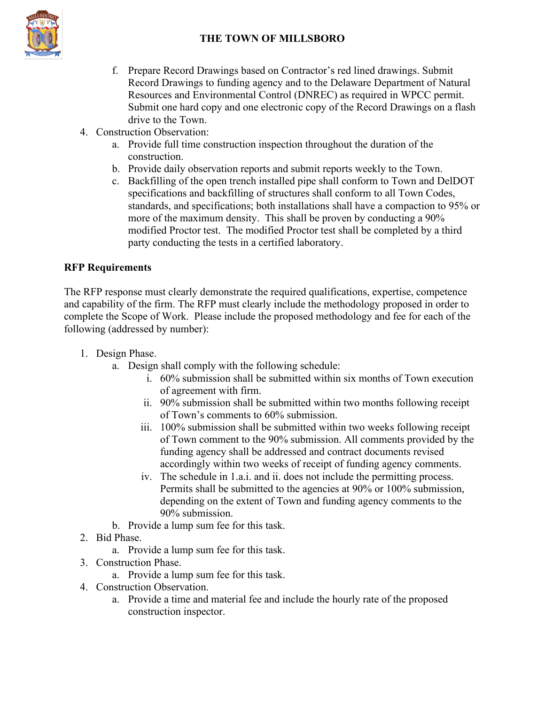

- f. Prepare Record Drawings based on Contractor's red lined drawings. Submit Record Drawings to funding agency and to the Delaware Department of Natural Resources and Environmental Control (DNREC) as required in WPCC permit. Submit one hard copy and one electronic copy of the Record Drawings on a flash drive to the Town.
- 4. Construction Observation:
	- a. Provide full time construction inspection throughout the duration of the construction.
	- b. Provide daily observation reports and submit reports weekly to the Town.
	- c. Backfilling of the open trench installed pipe shall conform to Town and DelDOT specifications and backfilling of structures shall conform to all Town Codes, standards, and specifications; both installations shall have a compaction to 95% or more of the maximum density. This shall be proven by conducting a 90% modified Proctor test. The modified Proctor test shall be completed by a third party conducting the tests in a certified laboratory.

### **RFP Requirements**

The RFP response must clearly demonstrate the required qualifications, expertise, competence and capability of the firm. The RFP must clearly include the methodology proposed in order to complete the Scope of Work. Please include the proposed methodology and fee for each of the following (addressed by number):

- 1. Design Phase.
	- a. Design shall comply with the following schedule:
		- i. 60% submission shall be submitted within six months of Town execution of agreement with firm.
		- ii. 90% submission shall be submitted within two months following receipt of Town's comments to 60% submission.
		- iii. 100% submission shall be submitted within two weeks following receipt of Town comment to the 90% submission. All comments provided by the funding agency shall be addressed and contract documents revised accordingly within two weeks of receipt of funding agency comments.
		- iv. The schedule in 1.a.i. and ii. does not include the permitting process. Permits shall be submitted to the agencies at 90% or 100% submission, depending on the extent of Town and funding agency comments to the 90% submission.
	- b. Provide a lump sum fee for this task.
- 2. Bid Phase.
	- a. Provide a lump sum fee for this task.
- 3. Construction Phase.
	- a. Provide a lump sum fee for this task.
- 4. Construction Observation.
	- a. Provide a time and material fee and include the hourly rate of the proposed construction inspector.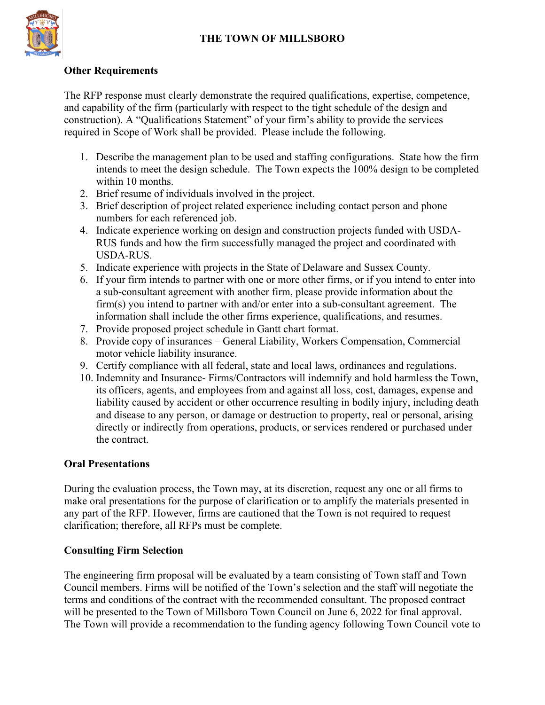

### **Other Requirements**

The RFP response must clearly demonstrate the required qualifications, expertise, competence, and capability of the firm (particularly with respect to the tight schedule of the design and construction). A "Qualifications Statement" of your firm's ability to provide the services required in Scope of Work shall be provided. Please include the following.

- 1. Describe the management plan to be used and staffing configurations. State how the firm intends to meet the design schedule. The Town expects the 100% design to be completed within 10 months.
- 2. Brief resume of individuals involved in the project.
- 3. Brief description of project related experience including contact person and phone numbers for each referenced job.
- 4. Indicate experience working on design and construction projects funded with USDA-RUS funds and how the firm successfully managed the project and coordinated with USDA-RUS.
- 5. Indicate experience with projects in the State of Delaware and Sussex County.
- 6. If your firm intends to partner with one or more other firms, or if you intend to enter into a sub-consultant agreement with another firm, please provide information about the firm(s) you intend to partner with and/or enter into a sub-consultant agreement. The information shall include the other firms experience, qualifications, and resumes.
- 7. Provide proposed project schedule in Gantt chart format.
- 8. Provide copy of insurances General Liability, Workers Compensation, Commercial motor vehicle liability insurance.
- 9. Certify compliance with all federal, state and local laws, ordinances and regulations.
- 10. Indemnity and Insurance- Firms/Contractors will indemnify and hold harmless the Town, its officers, agents, and employees from and against all loss, cost, damages, expense and liability caused by accident or other occurrence resulting in bodily injury, including death and disease to any person, or damage or destruction to property, real or personal, arising directly or indirectly from operations, products, or services rendered or purchased under the contract.

### **Oral Presentations**

During the evaluation process, the Town may, at its discretion, request any one or all firms to make oral presentations for the purpose of clarification or to amplify the materials presented in any part of the RFP. However, firms are cautioned that the Town is not required to request clarification; therefore, all RFPs must be complete.

#### **Consulting Firm Selection**

The engineering firm proposal will be evaluated by a team consisting of Town staff and Town Council members. Firms will be notified of the Town's selection and the staff will negotiate the terms and conditions of the contract with the recommended consultant. The proposed contract will be presented to the Town of Millsboro Town Council on June 6, 2022 for final approval. The Town will provide a recommendation to the funding agency following Town Council vote to